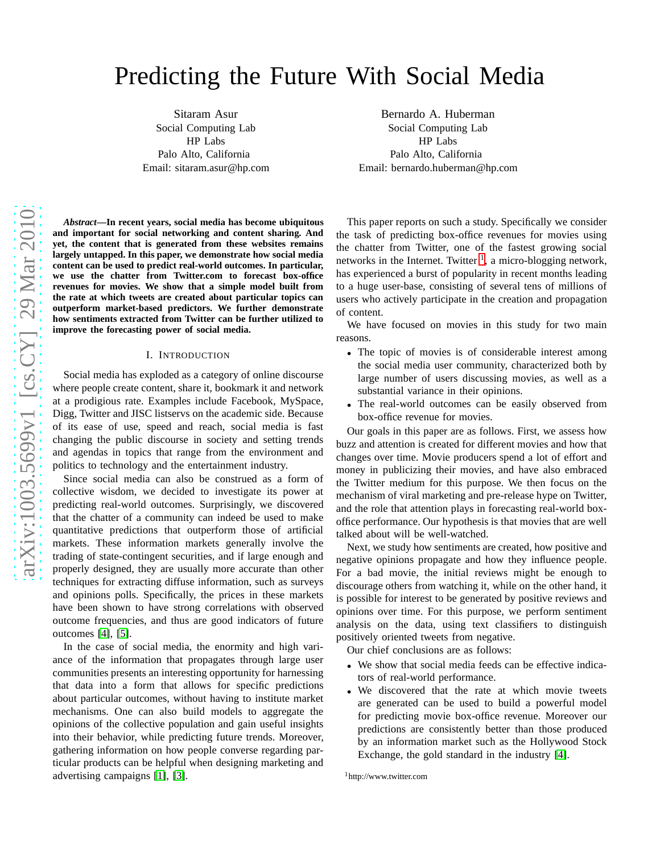# Predicting the Future With Social Media

Sitaram Asur Social Computing Lab HP Labs Palo Alto, California Email: sitaram.asur@hp.com

*Abstract***—In recent years, social media has become ubiquitous and important for social networking and content sharing. And yet, the content that is generated from these websites remains largely untapped. In this paper, we demonstrate how social media content can be used to predict real-world outcomes. In particular, we use the chatter from Twitter.com to forecast box-office revenues for movies. We show that a simple model built from the rate at which tweets are created about particular topics can outperform market-based predictors. We further demonstrate how sentiments extracted from Twitter can be further utilized to improve the forecasting power of social media.**

### I. INTRODUCTION

Social media has exploded as a category of online discourse where people create content, share it, bookmark it and network at a prodigious rate. Examples include Facebook, MySpace, Digg, Twitter and JISC listservs on the academic side. Because of its ease of use, speed and reach, social media is fast changing the public discourse in society and setting trends and agendas in topics that range from the environment and politics to technology and the entertainment industry.

Since social media can also be construed as a form of collective wisdom, we decided to investigate its power at predicting real-world outcomes. Surprisingly, we discovered that the chatter of a community can indeed be used to make quantitative predictions that outperform those of artificial markets. These information markets generally involve the trading of state-contingent securities, and if large enough and properly designed, they are usually more accurate than other techniques for extracting diffuse information, such as surveys and opinions polls. Specifically, the prices in these markets have been shown to have strong correlations with observed outcome frequencies, and thus are good indicators of future outcomes [\[4\]](#page-7-0), [\[5\]](#page-7-1).

In the case of social media, the enormity and high variance of the information that propagates through large user communities presents an interesting opportunity for harnessing that data into a form that allows for specific predictions about particular outcomes, without having to institute market mechanisms. One can also build models to aggregate the opinions of the collective population and gain useful insights into their behavior, while predicting future trends. Moreover, gathering information on how people converse regarding particular products can be helpful when designing marketing and advertising campaigns [\[1\]](#page-7-2), [\[3\]](#page-7-3).

Bernardo A. Huberman Social Computing Lab HP Labs Palo Alto, California Email: bernardo.huberman@hp.com

This paper reports on such a study. Specifically we consider the task of predicting box-office revenues for movies using the chatter from Twitter, one of the fastest growing social networks in the Internet. Twitter  $\frac{1}{2}$  $\frac{1}{2}$  $\frac{1}{2}$ , a micro-blogging network, has experienced a burst of popularity in recent months leading to a huge user-base, consisting of several tens of millions of users who actively participate in the creation and propagation of content.

We have focused on movies in this study for two main reasons.

- The topic of movies is of considerable interest among the social media user community, characterized both by large number of users discussing movies, as well as a substantial variance in their opinions.
- The real-world outcomes can be easily observed from box-office revenue for movies.

Our goals in this paper are as follows. First, we assess how buzz and attention is created for different movies and how that changes over time. Movie producers spend a lot of effort and money in publicizing their movies, and have also embraced the Twitter medium for this purpose. We then focus on the mechanism of viral marketing and pre-release hype on Twitter, and the role that attention plays in forecasting real-world boxoffice performance. Our hypothesis is that movies that are well talked about will be well-watched.

Next, we study how sentiments are created, how positive and negative opinions propagate and how they influence people. For a bad movie, the initial reviews might be enough to discourage others from watching it, while on the other hand, it is possible for interest to be generated by positive reviews and opinions over time. For this purpose, we perform sentiment analysis on the data, using text classifiers to distinguish positively oriented tweets from negative.

Our chief conclusions are as follows:

- We show that social media feeds can be effective indicators of real-world performance.
- We discovered that the rate at which movie tweets are generated can be used to build a powerful model for predicting movie box-office revenue. Moreover our predictions are consistently better than those produced by an information market such as the Hollywood Stock Exchange, the gold standard in the industry [\[4\]](#page-7-0).

```
1http://www.twitter.com
```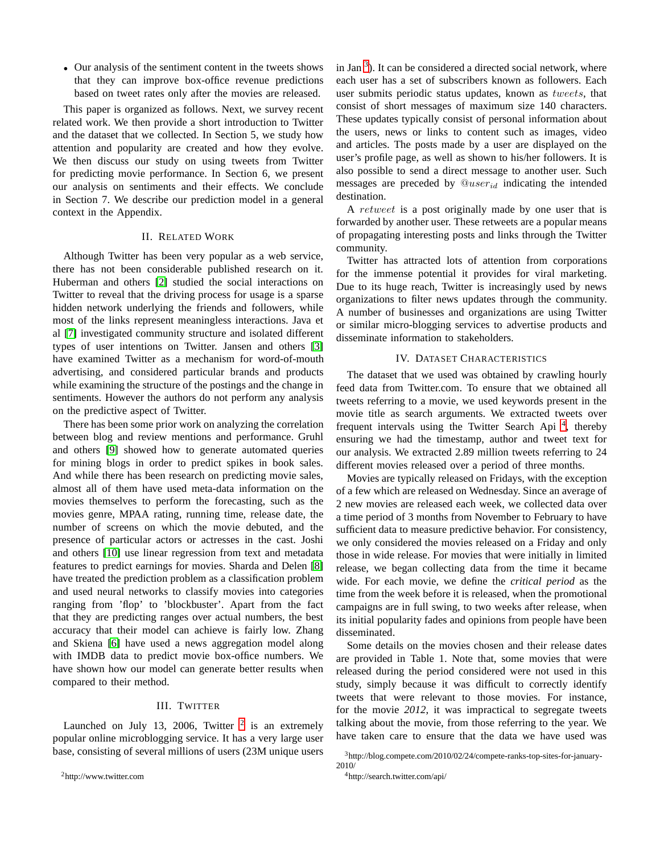• Our analysis of the sentiment content in the tweets shows that they can improve box-office revenue predictions based on tweet rates only after the movies are released.

This paper is organized as follows. Next, we survey recent related work. We then provide a short introduction to Twitter and the dataset that we collected. In Section 5, we study how attention and popularity are created and how they evolve. We then discuss our study on using tweets from Twitter for predicting movie performance. In Section 6, we present our analysis on sentiments and their effects. We conclude in Section 7. We describe our prediction model in a general context in the Appendix.

# II. RELATED WORK

Although Twitter has been very popular as a web service, there has not been considerable published research on it. Huberman and others [\[2\]](#page-7-4) studied the social interactions on Twitter to reveal that the driving process for usage is a sparse hidden network underlying the friends and followers, while most of the links represent meaningless interactions. Java et al [\[7\]](#page-7-5) investigated community structure and isolated different types of user intentions on Twitter. Jansen and others [\[3\]](#page-7-3) have examined Twitter as a mechanism for word-of-mouth advertising, and considered particular brands and products while examining the structure of the postings and the change in sentiments. However the authors do not perform any analysis on the predictive aspect of Twitter.

There has been some prior work on analyzing the correlation between blog and review mentions and performance. Gruhl and others [\[9\]](#page-7-6) showed how to generate automated queries for mining blogs in order to predict spikes in book sales. And while there has been research on predicting movie sales, almost all of them have used meta-data information on the movies themselves to perform the forecasting, such as the movies genre, MPAA rating, running time, release date, the number of screens on which the movie debuted, and the presence of particular actors or actresses in the cast. Joshi and others [\[10\]](#page-7-7) use linear regression from text and metadata features to predict earnings for movies. Sharda and Delen [\[8\]](#page-7-8) have treated the prediction problem as a classification problem and used neural networks to classify movies into categories ranging from 'flop' to 'blockbuster'. Apart from the fact that they are predicting ranges over actual numbers, the best accuracy that their model can achieve is fairly low. Zhang and Skiena [\[6\]](#page-7-9) have used a news aggregation model along with IMDB data to predict movie box-office numbers. We have shown how our model can generate better results when compared to their method.

## III. TWITTER

Launched on July 13, [2](#page-1-0)006, Twitter  $^2$  is an extremely popular online microblogging service. It has a very large user base, consisting of several millions of users (23M unique users

in Jan<sup>[3](#page-1-1)</sup>). It can be considered a directed social network, where each user has a set of subscribers known as followers. Each user submits periodic status updates, known as tweets, that consist of short messages of maximum size 140 characters. These updates typically consist of personal information about the users, news or links to content such as images, video and articles. The posts made by a user are displayed on the user's profile page, as well as shown to his/her followers. It is also possible to send a direct message to another user. Such messages are preceded by  $@user_{id}$  indicating the intended destination.

A retweet is a post originally made by one user that is forwarded by another user. These retweets are a popular means of propagating interesting posts and links through the Twitter community.

Twitter has attracted lots of attention from corporations for the immense potential it provides for viral marketing. Due to its huge reach, Twitter is increasingly used by news organizations to filter news updates through the community. A number of businesses and organizations are using Twitter or similar micro-blogging services to advertise products and disseminate information to stakeholders.

## IV. DATASET CHARACTERISTICS

The dataset that we used was obtained by crawling hourly feed data from Twitter.com. To ensure that we obtained all tweets referring to a movie, we used keywords present in the movie title as search arguments. We extracted tweets over frequent intervals using the Twitter Search Api<sup>[4](#page-1-2)</sup>, thereby ensuring we had the timestamp, author and tweet text for our analysis. We extracted 2.89 million tweets referring to 24 different movies released over a period of three months.

Movies are typically released on Fridays, with the exception of a few which are released on Wednesday. Since an average of 2 new movies are released each week, we collected data over a time period of 3 months from November to February to have sufficient data to measure predictive behavior. For consistency, we only considered the movies released on a Friday and only those in wide release. For movies that were initially in limited release, we began collecting data from the time it became wide. For each movie, we define the *critical period* as the time from the week before it is released, when the promotional campaigns are in full swing, to two weeks after release, when its initial popularity fades and opinions from people have been disseminated.

Some details on the movies chosen and their release dates are provided in Table 1. Note that, some movies that were released during the period considered were not used in this study, simply because it was difficult to correctly identify tweets that were relevant to those movies. For instance, for the movie *2012*, it was impractical to segregate tweets talking about the movie, from those referring to the year. We have taken care to ensure that the data we have used was

<span id="page-1-0"></span><sup>2</sup>http://www.twitter.com

<sup>3</sup>http://blog.compete.com/2010/02/24/compete-ranks-top-sites-for-january-2010/

<span id="page-1-2"></span><span id="page-1-1"></span><sup>4</sup>http://search.twitter.com/api/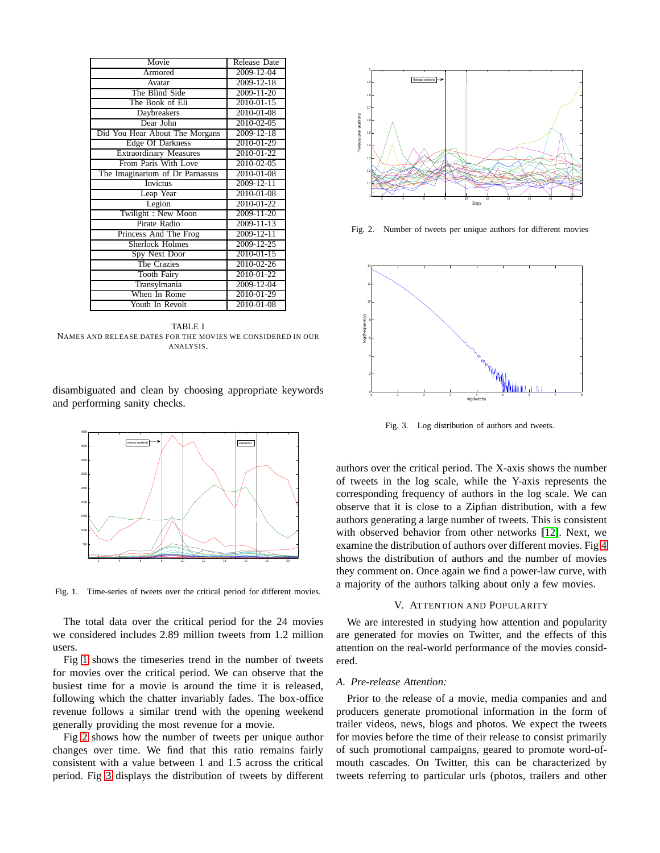| Movie                           | <b>Release Date</b> |
|---------------------------------|---------------------|
| Armored                         | 2009-12-04          |
| Avatar                          | 2009-12-18          |
| The Blind Side                  | 2009-11-20          |
| The Book of Eli                 | 2010-01-15          |
| Daybreakers                     | 2010-01-08          |
| Dear John                       | 2010-02-05          |
| Did You Hear About The Morgans  | 2009-12-18          |
| <b>Edge Of Darkness</b>         | 2010-01-29          |
| <b>Extraordinary Measures</b>   | 2010-01-22          |
| From Paris With Love            | 2010-02-05          |
| The Imaginarium of Dr Parnassus | 2010-01-08          |
| <b>Invictus</b>                 | 2009-12-11          |
| Leap Year                       | 2010-01-08          |
| Legion                          | 2010-01-22          |
| Twilight: New Moon              | 2009-11-20          |
| Pirate Radio                    | 2009-11-13          |
| Princess And The Frog           | 2009-12-11          |
| <b>Sherlock Holmes</b>          | 2009-12-25          |
| Spy Next Door                   | 2010-01-15          |
| The Crazies                     | 2010-02-26          |
| <b>Tooth Fairy</b>              | 2010-01-22          |
| Transylmania                    | 2009-12-04          |
| When In Rome                    | 2010-01-29          |
| Youth In Revolt                 | 2010-01-08          |

TABLE I NAMES AND RELEASE DATES FOR THE MOVIES WE CONSIDERED IN OUR ANALYSIS.

disambiguated and clean by choosing appropriate keywords and performing sanity checks.



<span id="page-2-0"></span>Fig. 1. Time-series of tweets over the critical period for different movies.

The total data over the critical period for the 24 movies we considered includes 2.89 million tweets from 1.2 million users.

Fig [1](#page-2-0) shows the timeseries trend in the number of tweets for movies over the critical period. We can observe that the busiest time for a movie is around the time it is released, following which the chatter invariably fades. The box-office revenue follows a similar trend with the opening weekend generally providing the most revenue for a movie.

Fig [2](#page-2-1) shows how the number of tweets per unique author changes over time. We find that this ratio remains fairly consistent with a value between 1 and 1.5 across the critical period. Fig [3](#page-2-2) displays the distribution of tweets by different



<span id="page-2-1"></span>Fig. 2. Number of tweets per unique authors for different movies



<span id="page-2-2"></span>Fig. 3. Log distribution of authors and tweets.

authors over the critical period. The X-axis shows the number of tweets in the log scale, while the Y-axis represents the corresponding frequency of authors in the log scale. We can observe that it is close to a Zipfian distribution, with a few authors generating a large number of tweets. This is consistent with observed behavior from other networks [\[12\]](#page-7-10). Next, we examine the distribution of authors over different movies. Fig [4](#page-3-0) shows the distribution of authors and the number of movies they comment on. Once again we find a power-law curve, with a majority of the authors talking about only a few movies.

#### V. ATTENTION AND POPULARITY

We are interested in studying how attention and popularity are generated for movies on Twitter, and the effects of this attention on the real-world performance of the movies considered.

#### *A. Pre-release Attention:*

Prior to the release of a movie, media companies and and producers generate promotional information in the form of trailer videos, news, blogs and photos. We expect the tweets for movies before the time of their release to consist primarily of such promotional campaigns, geared to promote word-ofmouth cascades. On Twitter, this can be characterized by tweets referring to particular urls (photos, trailers and other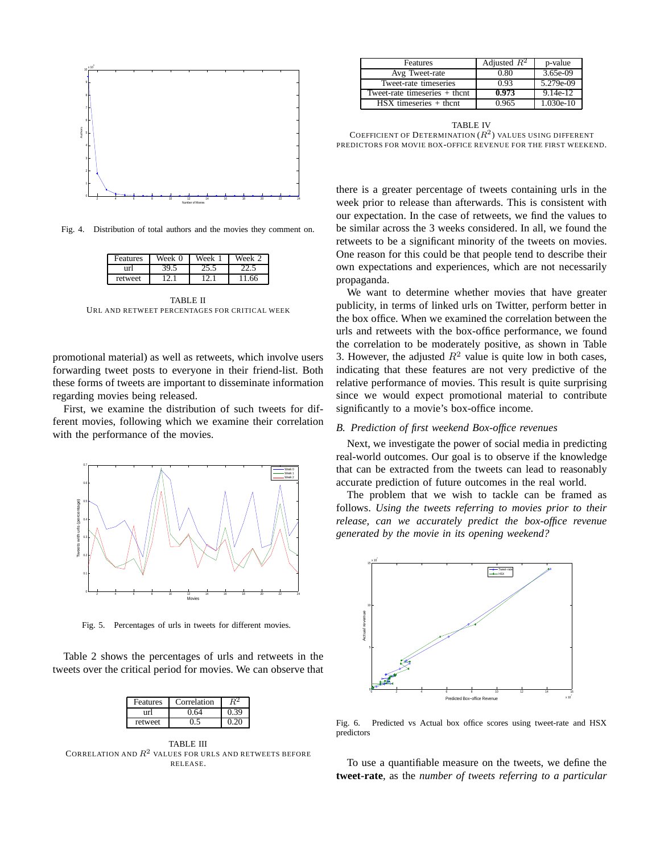

Fig. 4. Distribution of total authors and the movies they comment on.

<span id="page-3-0"></span>

| ıırl          | Week 2 |
|---------------|--------|
|               |        |
| -1<br>retweet | 66     |

TABLE II URL AND RETWEET PERCENTAGES FOR CRITICAL WEEK

promotional material) as well as retweets, which involve users forwarding tweet posts to everyone in their friend-list. Both these forms of tweets are important to disseminate information regarding movies being released.

First, we examine the distribution of such tweets for different movies, following which we examine their correlation with the performance of the movies.



Fig. 5. Percentages of urls in tweets for different movies.

Table 2 shows the percentages of urls and retweets in the tweets over the critical period for movies. We can observe that

| Features | Correlation |      |
|----------|-------------|------|
|          | በ 64        | በ 39 |
| retweet  |             |      |

TABLE III CORRELATION AND  $R^2$  values for urls and retweets before RELEASE.

| Features                      | Adjusted $R^2$ | p-value     |
|-------------------------------|----------------|-------------|
| Avg Tweet-rate                | 0.80           | 3.65e-09    |
| Tweet-rate timeseries         | 0.93           | 5.279e-09   |
| Tweet-rate timeseries + thent | 0.973          | $9.14e-12$  |
| $HSX$ timeseries $+$ thent    | 0.965          | $1.030e-10$ |

TABLE IV COEFFICIENT OF DETERMINATION  $({\overline{R}}^2)$  values using different PREDICTORS FOR MOVIE BOX-OFFICE REVENUE FOR THE FIRST WEEKEND.

there is a greater percentage of tweets containing urls in the week prior to release than afterwards. This is consistent with our expectation. In the case of retweets, we find the values to be similar across the 3 weeks considered. In all, we found the retweets to be a significant minority of the tweets on movies. One reason for this could be that people tend to describe their own expectations and experiences, which are not necessarily propaganda.

We want to determine whether movies that have greater publicity, in terms of linked urls on Twitter, perform better in the box office. When we examined the correlation between the urls and retweets with the box-office performance, we found the correlation to be moderately positive, as shown in Table 3. However, the adjusted  $R^2$  value is quite low in both cases, indicating that these features are not very predictive of the relative performance of movies. This result is quite surprising since we would expect promotional material to contribute significantly to a movie's box-office income.

## *B. Prediction of first weekend Box-office revenues*

Next, we investigate the power of social media in predicting real-world outcomes. Our goal is to observe if the knowledge that can be extracted from the tweets can lead to reasonably accurate prediction of future outcomes in the real world.

The problem that we wish to tackle can be framed as follows. *Using the tweets referring to movies prior to their release, can we accurately predict the box-office revenue generated by the movie in its opening weekend?*



<span id="page-3-1"></span>Fig. 6. Predicted vs Actual box office scores using tweet-rate and HSX predictors

To use a quantifiable measure on the tweets, we define the **tweet-rate**, as the *number of tweets referring to a particular*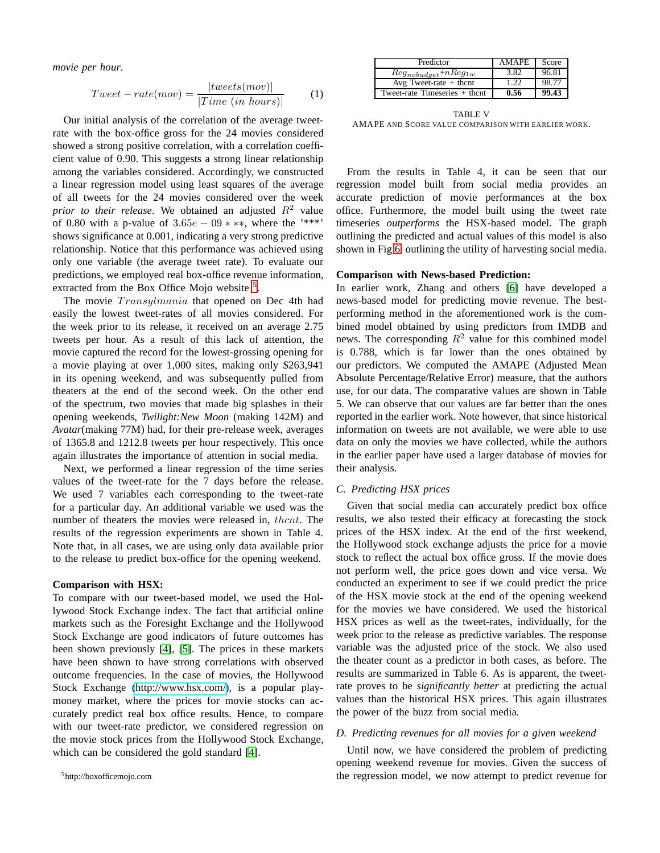*movie per hour*.

$$
Tweet-rate(mov) = \frac{|tweets(mov)|}{|Time (in hours)|}
$$
 (1)

Our initial analysis of the correlation of the average tweetrate with the box-office gross for the 24 movies considered showed a strong positive correlation, with a correlation coefficient value of 0.90. This suggests a strong linear relationship among the variables considered. Accordingly, we constructed a linear regression model using least squares of the average of all tweets for the 24 movies considered over the week *prior to their release*. We obtained an adjusted  $R^2$  value of 0.80 with a p-value of  $3.65e - 09$  \* \*\*, where the '\*\*\*' shows significance at 0.001, indicating a very strong predictive relationship. Notice that this performance was achieved using only one variable (the average tweet rate). To evaluate our predictions, we employed real box-office revenue information, extracted from the Box Office Mojo website <sup>[5](#page-4-0)</sup>.

The movie Transylmania that opened on Dec 4th had easily the lowest tweet-rates of all movies considered. For the week prior to its release, it received on an average 2.75 tweets per hour. As a result of this lack of attention, the movie captured the record for the lowest-grossing opening for a movie playing at over 1,000 sites, making only \$263,941 in its opening weekend, and was subsequently pulled from theaters at the end of the second week. On the other end of the spectrum, two movies that made big splashes in their opening weekends, *Twilight:New Moon* (making 142M) and *Avatar*(making 77M) had, for their pre-release week, averages of 1365.8 and 1212.8 tweets per hour respectively. This once again illustrates the importance of attention in social media.

Next, we performed a linear regression of the time series values of the tweet-rate for the 7 days before the release. We used 7 variables each corresponding to the tweet-rate for a particular day. An additional variable we used was the number of theaters the movies were released in, thent. The results of the regression experiments are shown in Table 4. Note that, in all cases, we are using only data available prior to the release to predict box-office for the opening weekend.

#### **Comparison with HSX:**

To compare with our tweet-based model, we used the Hollywood Stock Exchange index. The fact that artificial online markets such as the Foresight Exchange and the Hollywood Stock Exchange are good indicators of future outcomes has been shown previously [\[4\]](#page-7-0), [\[5\]](#page-7-1). The prices in these markets have been shown to have strong correlations with observed outcome frequencies. In the case of movies, the Hollywood Stock Exchange [\(http://www.hsx.com/\)](http://www.hsx.com/), is a popular playmoney market, where the prices for movie stocks can accurately predict real box office results. Hence, to compare with our tweet-rate predictor, we considered regression on the movie stock prices from the Hollywood Stock Exchange, which can be considered the gold standard [\[4\]](#page-7-0).

| Predictor                     | AMAPE <sub>1</sub> | Score |
|-------------------------------|--------------------|-------|
| $Reg_{nobudqet} + nReg_{1w}$  | 3.82               | 96.81 |
| Avg Tweet-rate $+$ thent      | 1.22               | 98.77 |
| Tweet-rate Timeseries + thent | 0.56               | 99.43 |

TABLE V AMAPE AND SCORE VALUE COMPARISON WITH EARLIER WORK.

From the results in Table 4, it can be seen that our regression model built from social media provides an accurate prediction of movie performances at the box office. Furthermore, the model built using the tweet rate timeseries *outperforms* the HSX-based model. The graph outlining the predicted and actual values of this model is also shown in Fig [6,](#page-3-1) outlining the utility of harvesting social media.

#### **Comparison with News-based Prediction:**

In earlier work, Zhang and others [\[6\]](#page-7-9) have developed a news-based model for predicting movie revenue. The bestperforming method in the aforementioned work is the combined model obtained by using predictors from IMDB and news. The corresponding  $R^2$  value for this combined model is 0.788, which is far lower than the ones obtained by our predictors. We computed the AMAPE (Adjusted Mean Absolute Percentage/Relative Error) measure, that the authors use, for our data. The comparative values are shown in Table 5. We can observe that our values are far better than the ones reported in the earlier work. Note however, that since historical information on tweets are not available, we were able to use data on only the movies we have collected, while the authors in the earlier paper have used a larger database of movies for their analysis.

#### *C. Predicting HSX prices*

Given that social media can accurately predict box office results, we also tested their efficacy at forecasting the stock prices of the HSX index. At the end of the first weekend, the Hollywood stock exchange adjusts the price for a movie stock to reflect the actual box office gross. If the movie does not perform well, the price goes down and vice versa. We conducted an experiment to see if we could predict the price of the HSX movie stock at the end of the opening weekend for the movies we have considered. We used the historical HSX prices as well as the tweet-rates, individually, for the week prior to the release as predictive variables. The response variable was the adjusted price of the stock. We also used the theater count as a predictor in both cases, as before. The results are summarized in Table 6. As is apparent, the tweetrate proves to be *significantly better* at predicting the actual values than the historical HSX prices. This again illustrates the power of the buzz from social media.

#### *D. Predicting revenues for all movies for a given weekend*

Until now, we have considered the problem of predicting opening weekend revenue for movies. Given the success of the regression model, we now attempt to predict revenue for

<span id="page-4-0"></span><sup>5</sup>http://boxofficemojo.com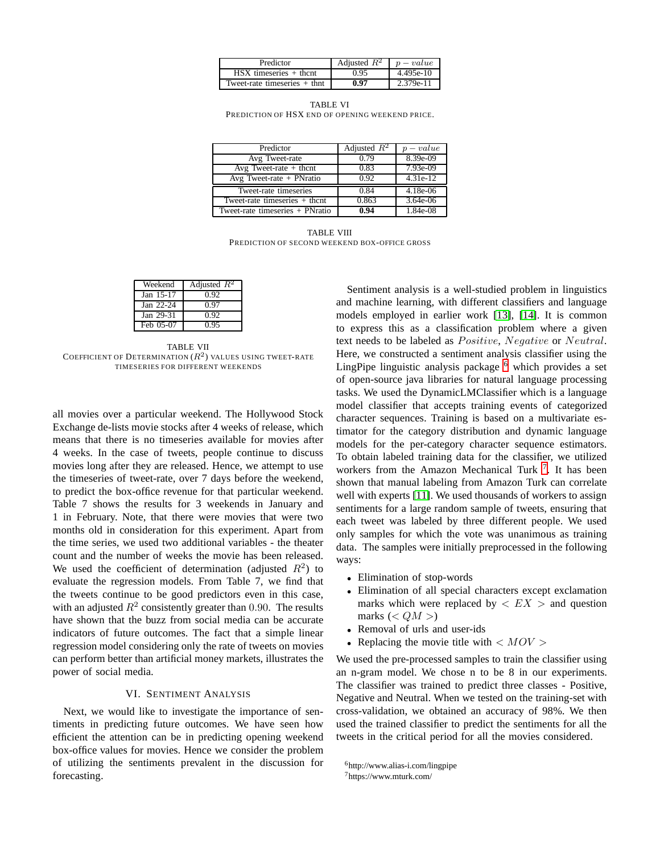| Predictor                          | Adjusted $R^2$ | $p-value$ |
|------------------------------------|----------------|-----------|
| $\text{H}$ SX timeseries $+$ thent | 0.95           | 4.495e-10 |
| Tweet-rate timeseries + thnt       | 0.97           | 2.379e-11 |

TABLE VI PREDICTION OF HSX END OF OPENING WEEKEND PRICE.

| Predictor                       | Adjusted $R^2$ | $p-value$  |
|---------------------------------|----------------|------------|
| Avg Tweet-rate                  | 0.79           | 8.39e-09   |
| Avg Tweet-rate $+$ thent        | 0.83           | $7.93e-09$ |
| Avg Tweet-rate $+$ PNratio      | 0.92           | 4.31e-12   |
| Tweet-rate timeseries           | 0.84           | $4.18e-06$ |
| Tweet-rate timeseries $+$ thent | 0.863          | 3.64e-06   |
| Tweet-rate timeseries + PNratio | 0.94           | 1.84e-08   |

TABLE VIII PREDICTION OF SECOND WEEKEND BOX-OFFICE GROSS

| Weekend   | Adjusted $R^2$ |
|-----------|----------------|
| Jan 15-17 | 0.92           |
| Jan 22-24 | 0.97           |
| Jan 29-31 | 0.92           |
| Feb 05-07 | 0.95           |

TABLE VII COEFFICIENT OF DETERMINATION  $(R^2)$  values using tweet-rate TIMESERIES FOR DIFFERENT WEEKENDS

all movies over a particular weekend. The Hollywood Stock Exchange de-lists movie stocks after 4 weeks of release, which means that there is no timeseries available for movies after 4 weeks. In the case of tweets, people continue to discuss movies long after they are released. Hence, we attempt to use the timeseries of tweet-rate, over 7 days before the weekend, to predict the box-office revenue for that particular weekend. Table 7 shows the results for 3 weekends in January and 1 in February. Note, that there were movies that were two months old in consideration for this experiment. Apart from the time series, we used two additional variables - the theater count and the number of weeks the movie has been released. We used the coefficient of determination (adjusted  $R^2$ ) to evaluate the regression models. From Table 7, we find that the tweets continue to be good predictors even in this case, with an adjusted  $R^2$  consistently greater than 0.90. The results have shown that the buzz from social media can be accurate indicators of future outcomes. The fact that a simple linear regression model considering only the rate of tweets on movies can perform better than artificial money markets, illustrates the power of social media.

## VI. SENTIMENT ANALYSIS

Next, we would like to investigate the importance of sentiments in predicting future outcomes. We have seen how efficient the attention can be in predicting opening weekend box-office values for movies. Hence we consider the problem of utilizing the sentiments prevalent in the discussion for forecasting.

Sentiment analysis is a well-studied problem in linguistics and machine learning, with different classifiers and language models employed in earlier work [\[13\]](#page-7-11), [\[14\]](#page-7-12). It is common to express this as a classification problem where a given text needs to be labeled as *Positive*, *Negative* or *Neutral*. Here, we constructed a sentiment analysis classifier using the LingPipe linguistic analysis package  $<sup>6</sup>$  $<sup>6</sup>$  $<sup>6</sup>$  which provides a set</sup> of open-source java libraries for natural language processing tasks. We used the DynamicLMClassifier which is a language model classifier that accepts training events of categorized character sequences. Training is based on a multivariate estimator for the category distribution and dynamic language models for the per-category character sequence estimators. To obtain labeled training data for the classifier, we utilized workers from the Amazon Mechanical Turk<sup>[7](#page-5-1)</sup>. It has been shown that manual labeling from Amazon Turk can correlate well with experts [\[11\]](#page-7-13). We used thousands of workers to assign sentiments for a large random sample of tweets, ensuring that each tweet was labeled by three different people. We used only samples for which the vote was unanimous as training data. The samples were initially preprocessed in the following ways:

- Elimination of stop-words
- Elimination of all special characters except exclamation marks which were replaced by  $\langle EX \rangle$  and question marks  $()$
- Removal of urls and user-ids
- Replacing the movie title with  $\langle MOV \rangle$

We used the pre-processed samples to train the classifier using an n-gram model. We chose n to be 8 in our experiments. The classifier was trained to predict three classes - Positive, Negative and Neutral. When we tested on the training-set with cross-validation, we obtained an accuracy of 98%. We then used the trained classifier to predict the sentiments for all the tweets in the critical period for all the movies considered.

<sup>6</sup>http://www.alias-i.com/lingpipe

<span id="page-5-1"></span><span id="page-5-0"></span><sup>7</sup>https://www.mturk.com/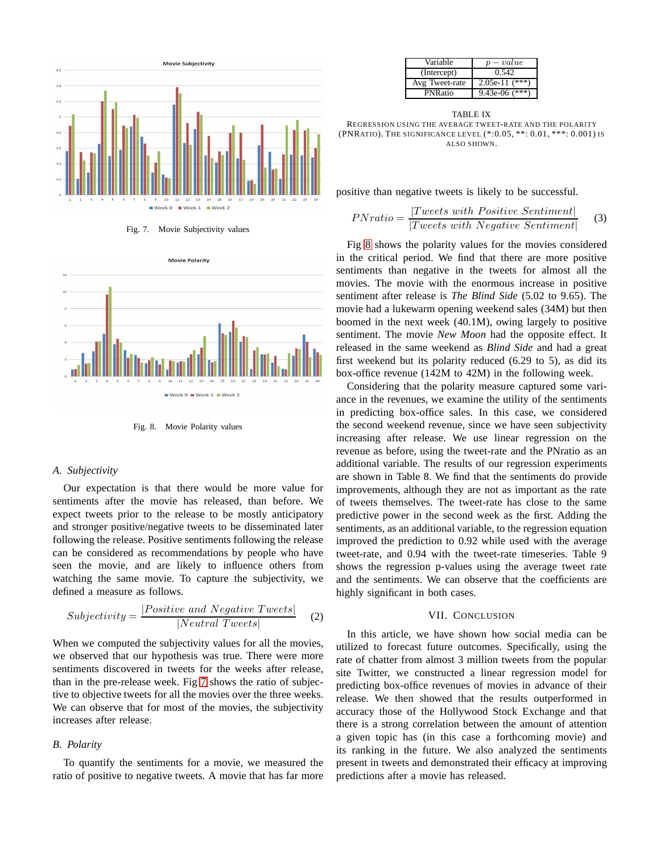

<span id="page-6-0"></span>Fig. 7. Movie Subjectivity values



<span id="page-6-1"></span>Fig. 8. Movie Polarity values

#### *A. Subjectivity*

Our expectation is that there would be more value for sentiments after the movie has released, than before. We expect tweets prior to the release to be mostly anticipatory and stronger positive/negative tweets to be disseminated later following the release. Positive sentiments following the release can be considered as recommendations by people who have seen the movie, and are likely to influence others from watching the same movie. To capture the subjectivity, we defined a measure as follows.

$$
Subjectivity = \frac{|Positive\ and\ Negative\ Tuesday}{|Neutral\ Tuesday|} \tag{2}
$$

When we computed the subjectivity values for all the movies, we observed that our hypothesis was true. There were more sentiments discovered in tweets for the weeks after release, than in the pre-release week. Fig [7](#page-6-0) shows the ratio of subjective to objective tweets for all the movies over the three weeks. We can observe that for most of the movies, the subjectivity increases after release.

## *B. Polarity*

To quantify the sentiments for a movie, we measured the ratio of positive to negative tweets. A movie that has far more

| Variable       | $p-value$        |
|----------------|------------------|
| (Intercept)    | 0.542            |
| Avg Tweet-rate | 2.05e-11 $(***)$ |
| PNRatio        | 9.43e-06 $(***)$ |

TABLE IX REGRESSION USING THE AVERAGE TWEET-RATE AND THE POLARITY (PNRATIO). THE SIGNIFICANCE LEVEL (\*:0.05, \*\*: 0.01, \*\*\*: 0.001) IS ALSO SHOWN.

positive than negative tweets is likely to be successful.

$$
PN ratio = \frac{|Tweets\ with\ Positive\ Sentiment|}{|Tweets\ with\ Negative\ Sentiment|}
$$
 (3)

Fig [8](#page-6-1) shows the polarity values for the movies considered in the critical period. We find that there are more positive sentiments than negative in the tweets for almost all the movies. The movie with the enormous increase in positive sentiment after release is *The Blind Side* (5.02 to 9.65). The movie had a lukewarm opening weekend sales (34M) but then boomed in the next week (40.1M), owing largely to positive sentiment. The movie *New Moon* had the opposite effect. It released in the same weekend as *Blind Side* and had a great first weekend but its polarity reduced (6.29 to 5), as did its box-office revenue (142M to 42M) in the following week.

Considering that the polarity measure captured some variance in the revenues, we examine the utility of the sentiments in predicting box-office sales. In this case, we considered the second weekend revenue, since we have seen subjectivity increasing after release. We use linear regression on the revenue as before, using the tweet-rate and the PNratio as an additional variable. The results of our regression experiments are shown in Table 8. We find that the sentiments do provide improvements, although they are not as important as the rate of tweets themselves. The tweet-rate has close to the same predictive power in the second week as the first. Adding the sentiments, as an additional variable, to the regression equation improved the prediction to 0.92 while used with the average tweet-rate, and 0.94 with the tweet-rate timeseries. Table 9 shows the regression p-values using the average tweet rate and the sentiments. We can observe that the coefficients are highly significant in both cases.

#### VII. CONCLUSION

In this article, we have shown how social media can be utilized to forecast future outcomes. Specifically, using the rate of chatter from almost 3 million tweets from the popular site Twitter, we constructed a linear regression model for predicting box-office revenues of movies in advance of their release. We then showed that the results outperformed in accuracy those of the Hollywood Stock Exchange and that there is a strong correlation between the amount of attention a given topic has (in this case a forthcoming movie) and its ranking in the future. We also analyzed the sentiments present in tweets and demonstrated their efficacy at improving predictions after a movie has released.